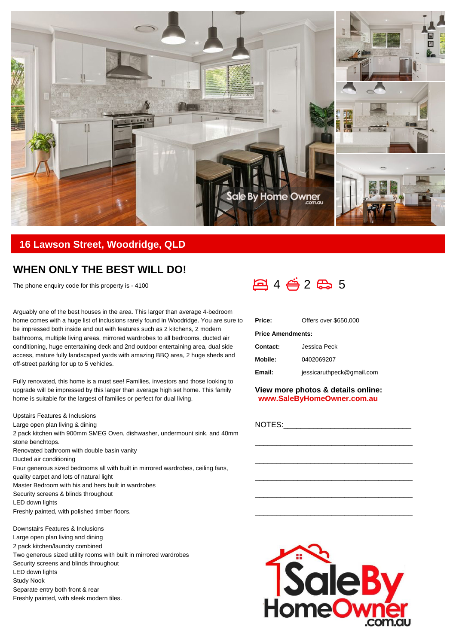

## **16 Lawson Street, Woodridge, QLD**

## **WHEN ONLY THE BEST WILL DO!**

The phone enquiry code for this property is - 4100

Arguably one of the best houses in the area. This larger than average 4-bedroom home comes with a huge list of inclusions rarely found in Woodridge. You are sure to be impressed both inside and out with features such as 2 kitchens, 2 modern bathrooms, multiple living areas, mirrored wardrobes to all bedrooms, ducted air conditioning, huge entertaining deck and 2nd outdoor entertaining area, dual side access, mature fully landscaped yards with amazing BBQ area, 2 huge sheds and off-street parking for up to 5 vehicles.

Fully renovated, this home is a must see! Families, investors and those looking to upgrade will be impressed by this larger than average high set home. This family home is suitable for the largest of families or perfect for dual living.

Upstairs Features & Inclusions Large open plan living & dining 2 pack kitchen with 900mm SMEG Oven, dishwasher, undermount sink, and 40mm stone benchtops. Renovated bathroom with double basin vanity Ducted air conditioning Four generous sized bedrooms all with built in mirrored wardrobes, ceiling fans, quality carpet and lots of natural light Master Bedroom with his and hers built in wardrobes Security screens & blinds throughout LED down lights Freshly painted, with polished timber floors.

Downstairs Features & Inclusions Large open plan living and dining 2 pack kitchen/laundry combined Two generous sized utility rooms with built in mirrored wardrobes Security screens and blinds throughout LED down lights Study Nook Separate entry both front & rear Freshly painted, with sleek modern tiles.



| Price:                   | Offers over \$650,000     |  |  |  |  |
|--------------------------|---------------------------|--|--|--|--|
| <b>Price Amendments:</b> |                           |  |  |  |  |
| Contact:                 | Jessica Peck              |  |  |  |  |
| Mobile:                  | 0402069207                |  |  |  |  |
| Email:                   | jessicaruthpeck@gmail.com |  |  |  |  |
|                          |                           |  |  |  |  |

## **View more photos & details online: www.SaleByHomeOwner.com.au**

| NOTES: |  |  |  |
|--------|--|--|--|
|        |  |  |  |
|        |  |  |  |
|        |  |  |  |
|        |  |  |  |

\_\_\_\_\_\_\_\_\_\_\_\_\_\_\_\_\_\_\_\_\_\_\_\_\_\_\_\_\_\_\_\_\_\_\_\_\_

\_\_\_\_\_\_\_\_\_\_\_\_\_\_\_\_\_\_\_\_\_\_\_\_\_\_\_\_\_\_\_\_\_\_\_\_\_